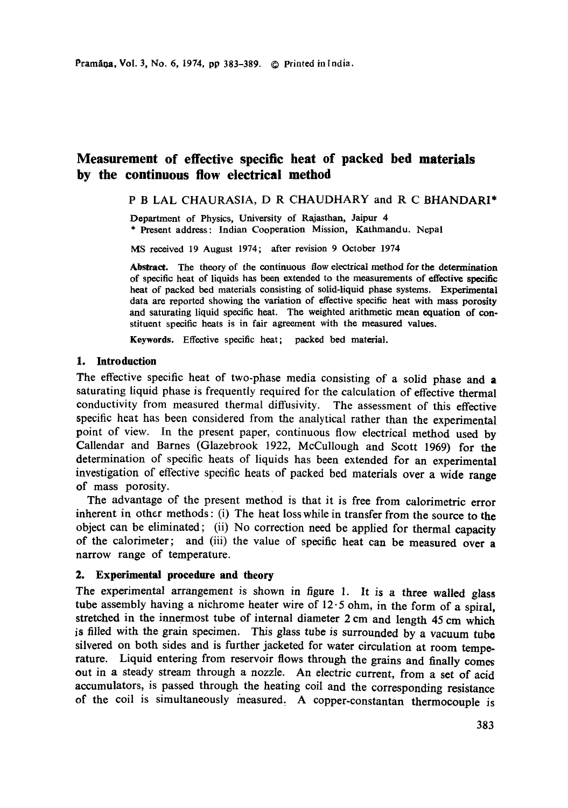# **Measurement of effective specific heat of packed bed materials by the continuous flow electrical method**

P B LAL CHAURASIA, D R CHAUDHARY and R C BHANDARI\*

Department of Physics, University of Rajasthan, Jaipur 4 \* Present address: Indian Cooperation Mission, Kathmandu. Nepal

MS received 19 August 1974; after revision 9 October 1974

**Abstract.** The theory of the continuous flow electrical method for the determination of specific heat of liquids has been extended to the measurements of effective specific heat of packed bed materials consisting of solid-liquid phase systems. Experimental data are reported showing the variation of effective specific heat with mass **porosity**  and saturating liquid specific heat. The weighted arithmetic mean equation of constituent specific heats is in fair agreement with the measured values.

**Keywords.** Effective specific heat; packed bed material.

#### **1. Introduction**

The effective specific heat of two-phase media consisting of a solid phase and a saturating liquid phase is frequently required for the calculation of effective thermal conductivity from measured thermal diffusivity. The assessment of this effective specific heat has been considered from the analytical rather than the experimental point of view. In the present paper, continuous flow electrical method used by Callendar and Barnes (Glazebrook 1922, McCullough and Scott 1969) for the determination of specific heats of liquids has been extended for an experimental investigation of effective specific heats of packed bed materials over a wide range of mass porosity.

The advantage of the present method is that it is free from calorimetric error inherent in other methods : (i) The heat loss while in transfer from the source to the object can be eliminated; (ii) No correction need be applied for thermal capacity of the calorimeter; and (iii) the value of specific heat can be measured over a narrow range of temperature.

## **2. Experimental procedure and theory**

The experimental arrangement is shown in figure 1. It is a three walled glass tube assembly having a nichrome heater wire of  $12 \cdot 5$  ohm, in the form of a spiral, stretched in the innermost tube of internal diameter 2 cm and length 45 cm which is filled with the grain specimen. This glass tube is surrounded by a vacuum tube silvered on both sides and is further jacketed for water circulation at room temperature. Liquid entering from reservoir flows through the grains and finally comes out in a steady stream through a nozzle. An electric current, from a set of acid accumulators, is passed through the heating coil and the corresponding resistance of the coil is simultaneously measured. A copper-constantan thermocouple is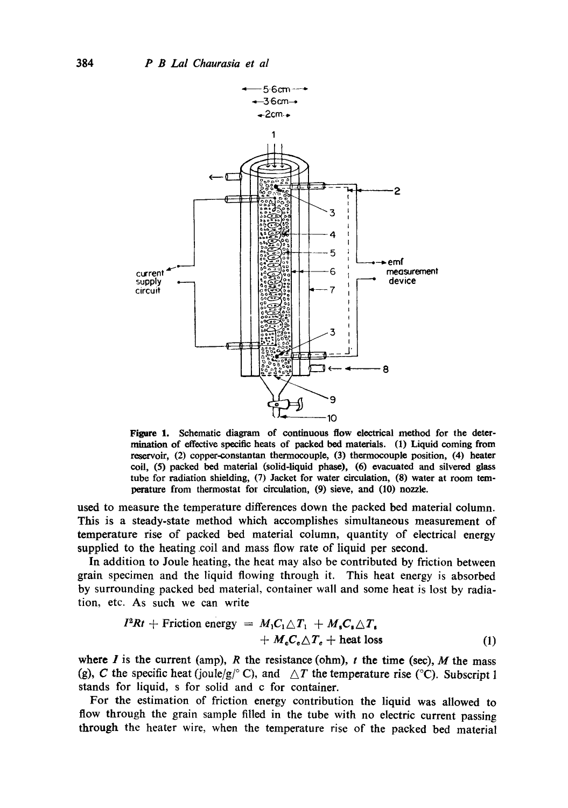

Figure 1. Schematic diagram of continuous flow electrical method for the deter**ruination** of effective specific heats of packed bed materials. (1) Liquid coming from reservoir, (2) copper-constantan thermocouple, (3) thermocouple position, (4) **heater**  coil, (5) packed bed material (solid-liquid phase), (6) evacuated and silvered glass tube for radiation shielding, (7) Jacket for water circulation, (8) water at room temperature from thermostat for circulation, (9) sieve, and (10) nozzle.

used to measure the temperature differences down the packed bed material column. This is a steady-state method which accomplishes simultaneous measurement of temperature rise of packed bed material column, quantity of electrical energy supplied to the heating coil and mass flow rate of liquid per second.

In addition to Joule heating, the heat may also be contributed by friction between grain specimen and the liquid flowing through it. This heat energy is absorbed by surrounding packed bed material, container wall and some heat is lost by radiation, etc. As such we can write

$$
I^{2}Rt + \text{Friction energy} = M_{1}C_{1}\triangle T_{1} + M_{s}C_{s}\triangle T_{s}
$$

$$
+ M_{e}C_{e}\triangle T_{e} + \text{heat loss}
$$
(1)

where  $I$  is the current (amp),  $R$  the resistance (ohm),  $t$  the time (sec),  $M$  the mass (g), C the specific heat (joule/g/ $\degree$ C), and  $\triangle T$  the temperature rise ( $\degree$ C). Subscript 1 stands for liquid, s for solid and c for container.

For the estimation of friction energy contribution the liquid was allowed to flow through the grain sample filled in the tube with no electric current passing through the heater wire, when the temperature rise of the packed bed material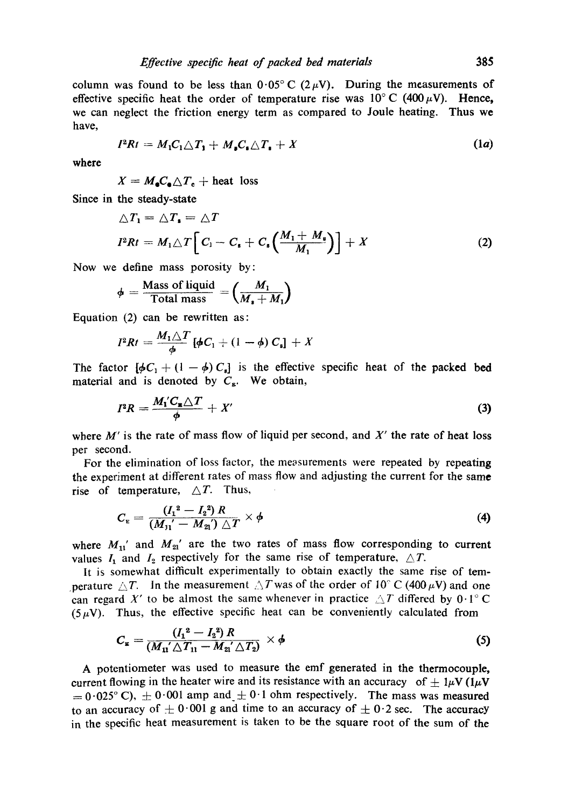$$
I^2Rt = M_1C_1\triangle T_1 + M_sC_s\triangle T_1 + X \qquad (1a)
$$

**where** 

 $X = M_{\bullet}C_{\bullet} \triangle T_{\bullet} + \text{heat loss}$ 

Since in the steady-state

$$
\triangle T_1 = \triangle T_1 = \triangle T
$$
  

$$
I^2 R t = M_1 \triangle T \Big[ C_1 - C_1 + C_2 \Big( \frac{M_1 + M_2}{M_1} \Big) \Big] + X
$$
 (2)

Now we define mass porosity by:

$$
\phi = \frac{\text{Mass of liquid}}{\text{Total mass}} = \left(\frac{M_1}{M_* + M_1}\right)
$$

Equation (2) can be rewritten as:

$$
I^2Rt = \frac{M_1\triangle T}{\phi} \left[\phi C_1 + (1-\phi) C_s\right] + X
$$

The factor  $[\phi C_1 + (1 - \phi) C_s]$  is the effective specific heat of the packed bed material and is denoted by  $C_{\mathbf{g}}$ . We obtain,

$$
I^2 R = \frac{M_1' C_{\mathbf{z}} \triangle T}{\phi} + X'
$$
 (3)

wbere *M'* is the rate of mass flow of liquid per second, and *X'* the rate of heat loss per second.

For the elimination of loss factor, the measurements were repeated by repeating the experiment at different rates of mass flow and adjusting the current for the same rise of temperature,  $\triangle T$ . Thus,

$$
C_{\rm E} = \frac{(I_1^2 - I_2^2) R}{(M_{11} - M_{21}) \triangle T} \times \phi
$$
 (4)

where  $M_{11}'$  and  $M_{21}'$  are the two rates of mass flow corresponding to current values  $I_1$  and  $I_2$  respectively for the same rise of temperature,  $\triangle T$ .

It is somewhat difficult experimentally to obtain exactly the same rise of temperature  $\triangle T$ . In the measurement  $\triangle T$  was of the order of 10° C (400  $\mu$ V) and one can regard X' to be almost the same whenever in practice  $\triangle T$  differed by 0.1°C  $(5 \mu V)$ . Thus, the effective specific heat can be conveniently calculated from

$$
C_{\mathbf{z}} = \frac{(I_1^2 - I_2^2) R}{(M_{11} \triangle T_{11} - M_{21} \triangle T_2)} \times \phi
$$
 (5)

A potentiometer was used to measure the emf generated in the thermocouple, current flowing in the heater wire and its resistance with an accuracy of  $\pm 1\mu V$  ( $1\mu$ V  $t_0 = 0.025$ °C),  $t_0 = 0.001$  amp and  $t_0 = 0.1$  ohm respectively. The mass was measured to an accuracy of  $\pm 0.001$  g and time to an accuracy of  $\pm 0.2$  sec. The accuracy in the specific heat measurement is taken to be the square root of the sum of the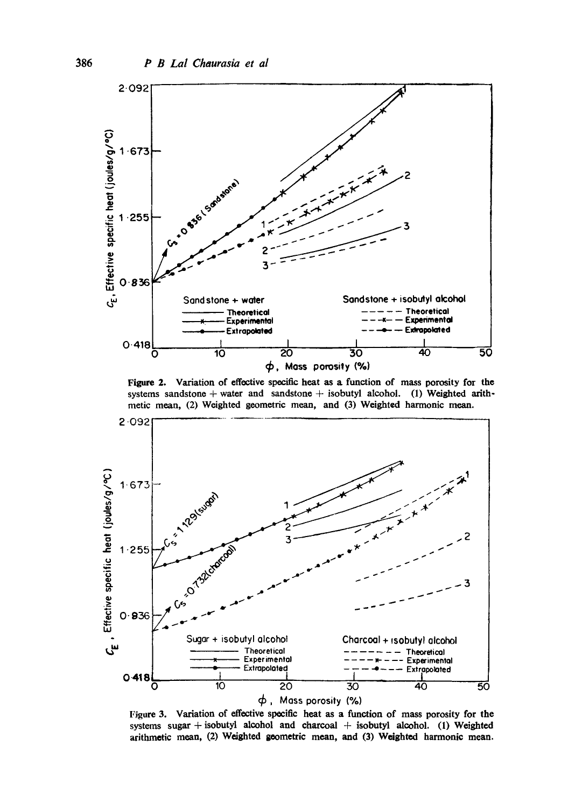

Figure 2. Variation of effective specific heat as a function of mass porosity for the systems sandstone + water and sandstone + isobutyl alcohol. (1) Weighted arithmetic mean, (2) Weighted geometric mean, and (3) Weighted harmonic mean.



Figure 3. Variation of effective specific heat as a function of mass porosity for the systems sugar + isobutyl alcohol and charcoal + isobutyl alcohol. (1) Weighted arithmetic mean, (2) Weighted geometric mean, and (3) Weighted harmonic mean.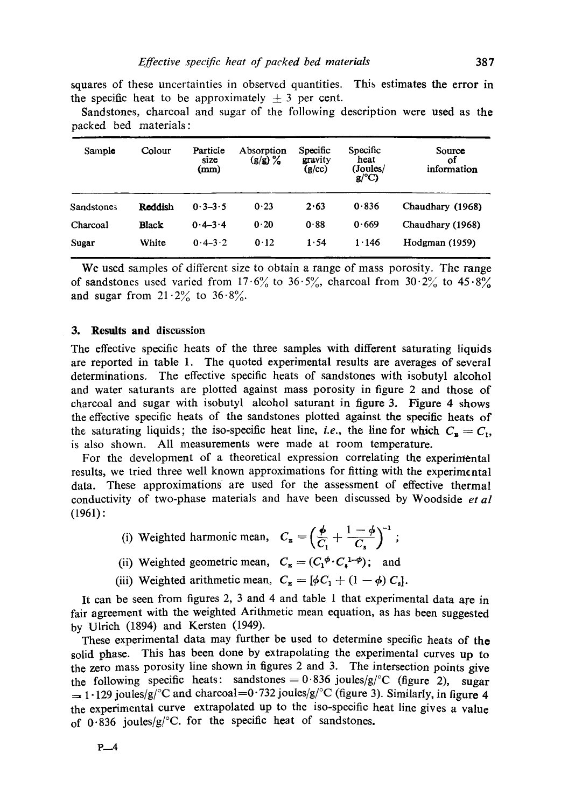squares of these uncertainties in observed quantities. This estimates the error in the specific heat to be approximately  $\pm$  3 per cent.

Sandstones, charcoal and sugar of the following description were used as the packed bed materials :

| Sample     | Colour       | Particle<br>size<br>(mm) | Absorption<br>(g/g) % | Specific<br>gravity<br>(g/cc) | Specific<br>heat<br>(Joules/<br>$g$ /°C) | Source<br>оf<br>information |
|------------|--------------|--------------------------|-----------------------|-------------------------------|------------------------------------------|-----------------------------|
| Sandstones | Reddish      | $0.3 - 3.5$              | 0.23                  | 2.63                          | 0.836                                    | Chaudhary (1968)            |
| Charcoal   | <b>Black</b> | $0.4 - 3.4$              | 0.20                  | 0.88                          | 0.669                                    | Chaudhary (1968)            |
| Sugar      | White        | $0.4 - 3.2$              | 0.12                  | 1.54                          | 1.146                                    | Hodgman (1959)              |

We used samples of different size to obtain a range of mass porosity. The range of sandstones used varied from  $17.6\%$  to  $36.5\%$ , charcoal from  $30.2\%$  to  $45.8\%$ and sugar from  $21 \cdot 2\%$  to  $36 \cdot 8\%$ .

### **3. Results and** discussion

The effective specific heats of the three samples with different saturating liquids are reported in table 1. The quoted experimental results are averages of several determinations. The effective specific heats of sandstones with isobutyl alcohol and water saturants are plotted against mass porosity in figure 2 and those of charcoal and sugar with isobutyl alcohol saturant in figure 3. Figure 4 shows the effective specific heats of the sandstones plotted against the specific heats of the saturating liquids; the iso-specific heat line, *i.e.*, the line for which  $C_{\mathbf{z}} = C_1$ , is also shown. All measurements were made at room temperature.

For the development of a theoretical expression correlating the experimental results, we tried three well known approximations for fitting with the experimental data. These approximations are used for the assessment of effective thermal conductivity of two-phase materials and have been discussed by Woodside *et al*  (1961):

- (i) Weighted harmonic mean,  $C_{\mathbf{z}} = \left(\frac{\phi}{C_1} + \frac{1-\phi}{C_2}\right)^{-1}$ ;
- (ii) Weighted geometric mean,  $C_{\mathbf{g}} = (C_1^{\phi} \cdot C_1^{1-\phi})$ ; and
- (iii) Weighted arithmetic mean,  $C_{\mathbf{g}} = [\phi C_1 + (1 \phi) C_s].$

It can be seen from figures 2, 3 and 4 and table 1 that experimental data are in fair agreement with the weighted Arithmetic mean equation, as has been suggested by Ulrich (1894) and Kersten (1949).

These experimental data may further be used to determine specific heats of the solid phase. This has been done by extrapolating the experimental curves up to the zero mass porosity line shown in figures 2 and 3. The intersection points give the following specific heats: sandstones =  $0.836$  joules/g/°C (figure 2), sugar  $=$  1.129 joules/g/°C and charcoal=0.732 joules/g/°C (figure 3). Similarly, in figure 4 the experimental curve extrapolated up to the iso-specific heat line gives a value of  $0.836$  joules/g/°C, for the specific heat of sandstones.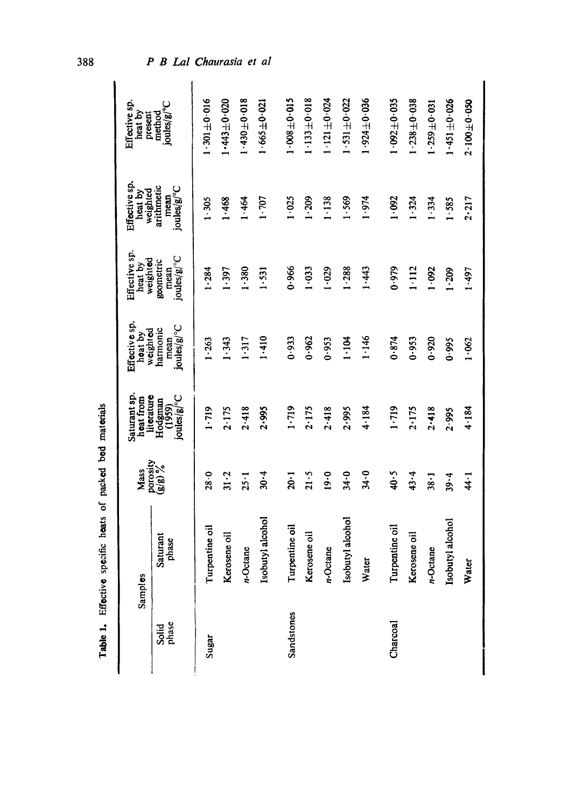|                | Samples           | Mass                | Saturant sp.<br>literature<br>heat from | Effective sp.<br>weighted<br>heat by | Effective sp.<br>weighted<br>heat by | Effective sp.<br>weighted<br>heat by | Effective sp.<br>heat by<br>present |
|----------------|-------------------|---------------------|-----------------------------------------|--------------------------------------|--------------------------------------|--------------------------------------|-------------------------------------|
| Solid<br>phase | Saturant<br>phase | porosity<br>(g/g) % | joules/g/°C<br>Hodgman<br>(1959)        | joules/g/°C<br>harmonic<br>mean      | joules/g/°C<br>geometric<br>mean     | arithmetic<br>joules/g/°C<br>mean    | joules/g/°C<br>method               |
| Sugar          | Turpentine oil    | 28.0                | 1.719                                   | 1.263                                | 1.284                                | $1 - 305$                            | $-301 \pm 0.016$                    |
|                | Kerosene oil      | $31 - 2$            | 2.175                                   | 1.343                                | 1.397                                | 1.468                                | $1.443 + 0.020$                     |
|                | n-Octane          | $25 - 1$            | 2.418                                   | 1.317                                | 1.380                                | 1.464                                | $1.430 + 0.018$                     |
|                | Isobutyl alcohol  | 30.4                | 2.995                                   | 1.410                                | 1.531                                | 1.707                                | $1.665 \pm 0.021$                   |
| Sandstones     | Turpentine oil    | $20 - 1$            | $1 - 719$                               | 0.933                                | 0.966                                | 1.025                                | $1.008 + 0.015$                     |
|                | Kerosene oil      | $21 - 5$            | 2.175                                   | 0.962                                | 1.033                                | 1.209                                | $1.133 + 0.018$                     |
|                | n-Octane          | 19.0                | 2.418                                   | 0.953                                | 1.029                                | 1.138                                | $1.121 \pm 0.024$                   |
|                | Isobutyl alcohol  | 34.0                | 2.995                                   | 1.104                                | 1.288                                | 1.569                                | $1.531 + 0.022$                     |
|                | Water             | $34 - 0$            | 4.184                                   | 1.146                                | 1.443                                | 1.974                                | $1.924 \pm 0.036$                   |
| Charcoal       | Turpentine oil    | 40.5                | 1.719                                   | 0.874                                | 0.979                                | 1.092                                | $1.092 + 0.035$                     |
|                | Kerosene oil      | 43.4                | 2.175                                   | 0.953                                | $1 - 112$                            | 1.324                                | $1.238 + 0.038$                     |
|                | n-Octane          | $38 - 1$            | 2.418                                   | 0.920                                | 1.092                                | 1.334                                | $1.259 \pm 0.031$                   |
|                | Isobutyl alcohol  | 39.4                | 2.995                                   | 0.995                                | 1.209                                | 1.585                                | $1.451 + 0.026$                     |
|                | Water             | 44 - 1              | 4.184                                   | 1.062                                | 1.497                                | 2.217                                | $2.100 \pm 0.050$                   |

Table 1. Effective specific heats of packed bed materials Table 1. Effective specific heats of packed bed materials

O0 O0

P B Lal Chaurasia et al